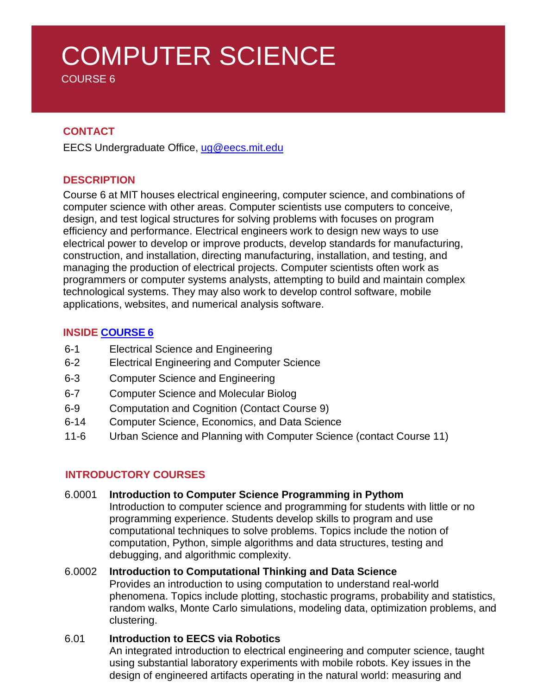# COMPUTER SCIENCE

COURSE 6

# **CONTACT**

EECS Undergraduate Office, [ug@eecs.mit.edu](mailto:ug@eecs.mit.edu)

### **DESCRIPTION**

Course 6 at MIT houses electrical engineering, computer science, and combinations of computer science with other areas. Computer scientists use computers to conceive, design, and test logical structures for solving problems with focuses on program efficiency and performance. Electrical engineers work to design new ways to use electrical power to develop or improve products, develop standards for manufacturing, construction, and installation, directing manufacturing, installation, and testing, and managing the production of electrical projects. Computer scientists often work as programmers or computer systems analysts, attempting to build and maintain complex technological systems. They may also work to develop control software, mobile applications, websites, and numerical analysis software.

### **INSIDE [COURSE 6](https://www.eecs.mit.edu/academics/undergraduate-programs/curriculum/)**

- 6-1 Electrical Science and Engineering
- 6-2 Electrical Engineering and Computer Science
- 6-3 Computer Science and Engineering
- 6-7 Computer Science and Molecular Biolog
- 6-9 Computation and Cognition (Contact Course 9)
- 6-14 Computer Science, Economics, and Data Science
- 11-6 Urban Science and Planning with Computer Science (contact Course 11)

# **INTRODUCTORY COURSES**

#### 6.0001 **Introduction to Computer Science Programming in Pythom**

Introduction to computer science and programming for students with little or no programming experience. Students develop skills to program and use computational techniques to solve problems. Topics include the notion of computation, Python, simple algorithms and data structures, testing and debugging, and algorithmic complexity.

#### 6.0002 **Introduction to Computational Thinking and Data Science**

Provides an introduction to using computation to understand real-world phenomena. Topics include plotting, stochastic programs, probability and statistics, random walks, Monte Carlo simulations, modeling data, optimization problems, and clustering.

#### 6.01 **Introduction to EECS via Robotics**

An integrated introduction to electrical engineering and computer science, taught using substantial laboratory experiments with mobile robots. Key issues in the design of engineered artifacts operating in the natural world: measuring and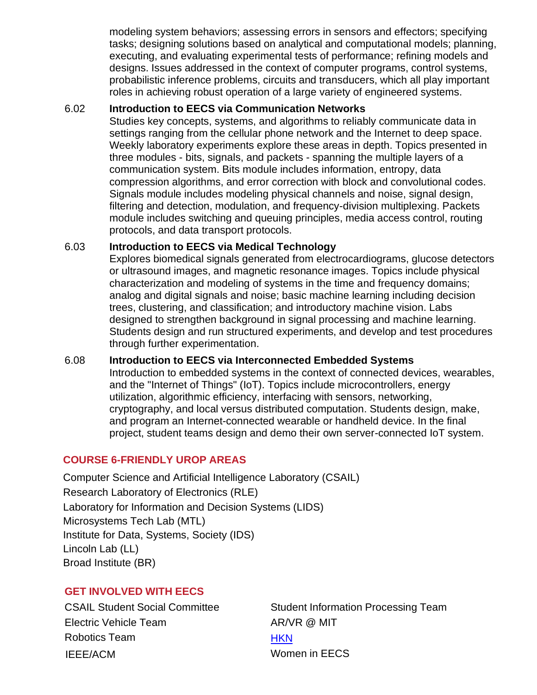modeling system behaviors; assessing errors in sensors and effectors; specifying tasks; designing solutions based on analytical and computational models; planning, executing, and evaluating experimental tests of performance; refining models and designs. Issues addressed in the context of computer programs, control systems, probabilistic inference problems, circuits and transducers, which all play important roles in achieving robust operation of a large variety of engineered systems.

#### 6.02 **Introduction to EECS via Communication Networks**

Studies key concepts, systems, and algorithms to reliably communicate data in settings ranging from the cellular phone network and the Internet to deep space. Weekly laboratory experiments explore these areas in depth. Topics presented in three modules - bits, signals, and packets - spanning the multiple layers of a communication system. Bits module includes information, entropy, data compression algorithms, and error correction with block and convolutional codes. Signals module includes modeling physical channels and noise, signal design, filtering and detection, modulation, and frequency-division multiplexing. Packets module includes switching and queuing principles, media access control, routing protocols, and data transport protocols.

### 6.03 **Introduction to EECS via Medical Technology**

Explores biomedical signals generated from electrocardiograms, glucose detectors or ultrasound images, and magnetic resonance images. Topics include physical characterization and modeling of systems in the time and frequency domains; analog and digital signals and noise; basic machine learning including decision trees, clustering, and classification; and introductory machine vision. Labs designed to strengthen background in signal processing and machine learning. Students design and run structured experiments, and develop and test procedures through further experimentation.

#### 6.08 **Introduction to EECS via Interconnected Embedded Systems**

Introduction to embedded systems in the context of connected devices, wearables, and the "Internet of Things" (IoT). Topics include microcontrollers, energy utilization, algorithmic efficiency, interfacing with sensors, networking, cryptography, and local versus distributed computation. Students design, make, and program an Internet-connected wearable or handheld device. In the final project, student teams design and demo their own server-connected IoT system.

# **COURSE 6-FRIENDLY UROP AREAS**

Computer Science and Artificial Intelligence Laboratory (CSAIL) Research Laboratory of Electronics (RLE) Laboratory for Information and Decision Systems (LIDS) Microsystems Tech Lab (MTL) Institute for Data, Systems, Society (IDS) Lincoln Lab (LL) Broad Institute (BR)

# **GET INVOLVED WITH EECS**

Electric Vehicle Team AR/VR @ MIT Robotics Team **[HKN](https://hkn.mit.edu/)** IEEE/ACM Women in EECS

CSAIL Student Social Committee Student Information Processing Team